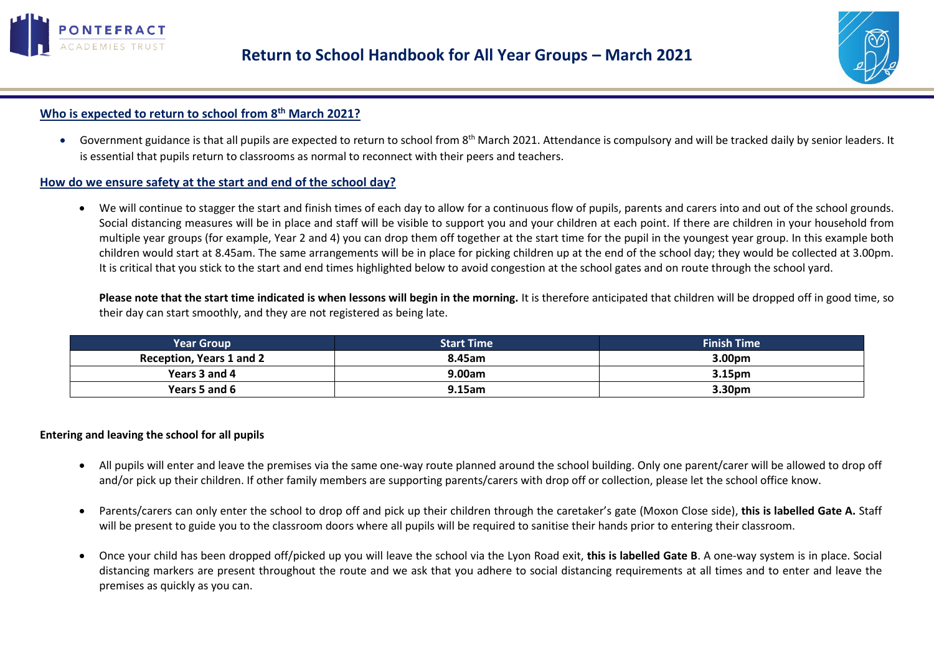



# **Who is expected to return to school from 8 th March 2021?**

• Government guidance is that all pupils are expected to return to school from 8<sup>th</sup> March 2021. Attendance is compulsory and will be tracked daily by senior leaders. It is essential that pupils return to classrooms as normal to reconnect with their peers and teachers.

### **How do we ensure safety at the start and end of the school day?**

• We will continue to stagger the start and finish times of each day to allow for a continuous flow of pupils, parents and carers into and out of the school grounds. Social distancing measures will be in place and staff will be visible to support you and your children at each point. If there are children in your household from multiple year groups (for example, Year 2 and 4) you can drop them off together at the start time for the pupil in the youngest year group. In this example both children would start at 8.45am. The same arrangements will be in place for picking children up at the end of the school day; they would be collected at 3.00pm. It is critical that you stick to the start and end times highlighted below to avoid congestion at the school gates and on route through the school yard.

**Please note that the start time indicated is when lessons will begin in the morning.** It is therefore anticipated that children will be dropped off in good time, so their day can start smoothly, and they are not registered as being late.

| Year Group                      | <b>Start Time</b> | <b>Finish Time</b> |
|---------------------------------|-------------------|--------------------|
| <b>Reception, Years 1 and 2</b> | 8.45am            | 3.00pm             |
| Years 3 and 4                   | 9.00am            | 3.15pm             |
| Years 5 and 6                   | $9.15$ am         | 3.30pm             |

### **Entering and leaving the school for all pupils**

- All pupils will enter and leave the premises via the same one-way route planned around the school building. Only one parent/carer will be allowed to drop off and/or pick up their children. If other family members are supporting parents/carers with drop off or collection, please let the school office know.
- Parents/carers can only enter the school to drop off and pick up their children through the caretaker's gate (Moxon Close side), **this is labelled Gate A.** Staff will be present to guide you to the classroom doors where all pupils will be required to sanitise their hands prior to entering their classroom.
- Once your child has been dropped off/picked up you will leave the school via the Lyon Road exit, **this is labelled Gate B**. A one-way system is in place. Social distancing markers are present throughout the route and we ask that you adhere to social distancing requirements at all times and to enter and leave the premises as quickly as you can.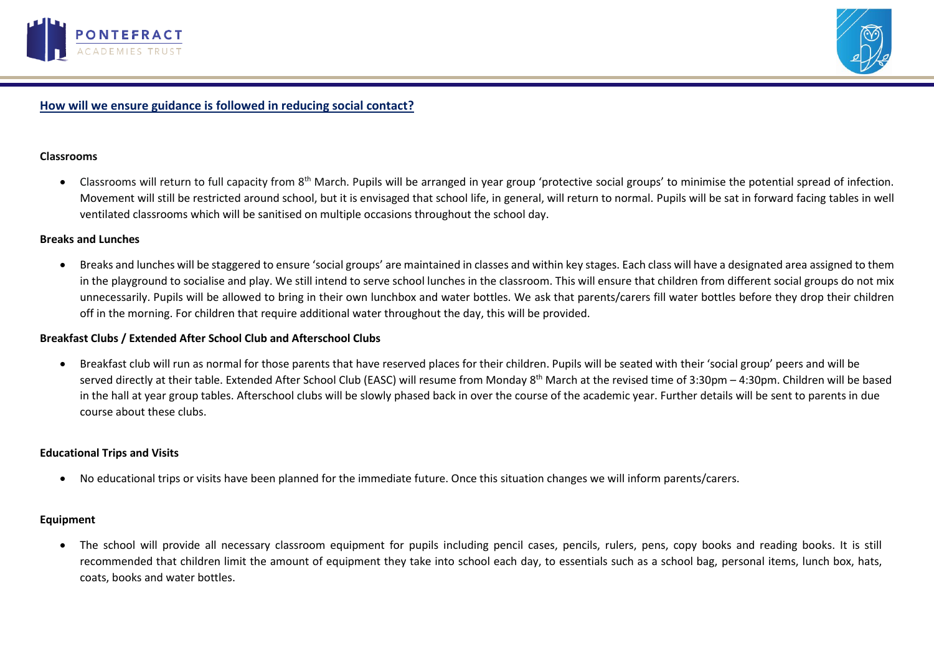



# **How will we ensure guidance is followed in reducing social contact?**

#### **Classrooms**

• Classrooms will return to full capacity from 8<sup>th</sup> March. Pupils will be arranged in year group 'protective social groups' to minimise the potential spread of infection. Movement will still be restricted around school, but it is envisaged that school life, in general, will return to normal. Pupils will be sat in forward facing tables in well ventilated classrooms which will be sanitised on multiple occasions throughout the school day.

#### **Breaks and Lunches**

• Breaks and lunches will be staggered to ensure 'social groups' are maintained in classes and within key stages. Each class will have a designated area assigned to them in the playground to socialise and play. We still intend to serve school lunches in the classroom. This will ensure that children from different social groups do not mix unnecessarily. Pupils will be allowed to bring in their own lunchbox and water bottles. We ask that parents/carers fill water bottles before they drop their children off in the morning. For children that require additional water throughout the day, this will be provided.

#### **Breakfast Clubs / Extended After School Club and Afterschool Clubs**

• Breakfast club will run as normal for those parents that have reserved places for their children. Pupils will be seated with their 'social group' peers and will be served directly at their table. Extended After School Club (EASC) will resume from Monday 8<sup>th</sup> March at the revised time of 3:30pm – 4:30pm. Children will be based in the hall at year group tables. Afterschool clubs will be slowly phased back in over the course of the academic year. Further details will be sent to parents in due course about these clubs.

### **Educational Trips and Visits**

• No educational trips or visits have been planned for the immediate future. Once this situation changes we will inform parents/carers.

### **Equipment**

• The school will provide all necessary classroom equipment for pupils including pencil cases, pencils, rulers, pens, copy books and reading books. It is still recommended that children limit the amount of equipment they take into school each day, to essentials such as a school bag, personal items, lunch box, hats, coats, books and water bottles.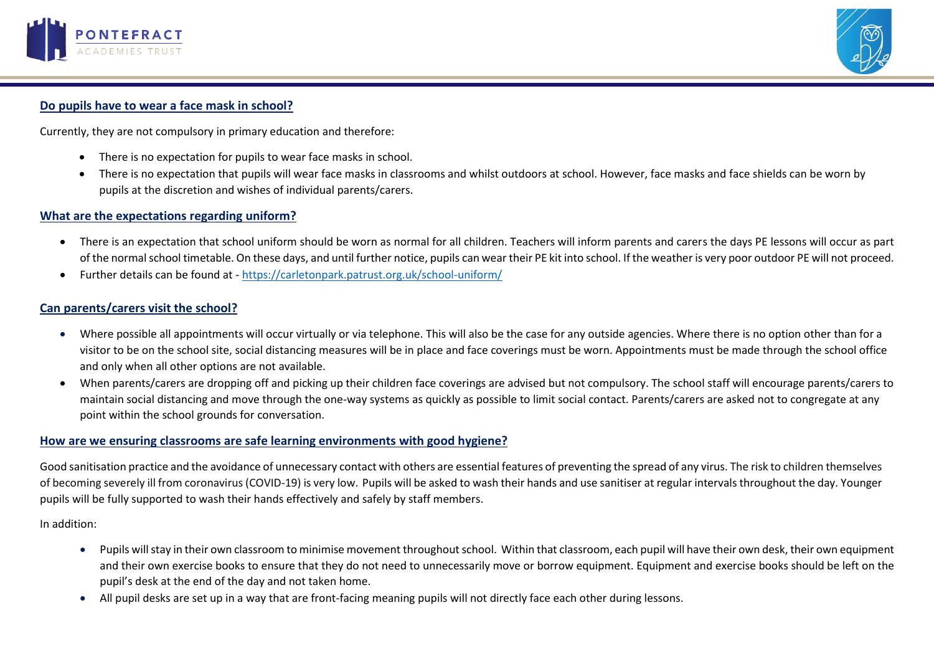



# **Do pupils have to wear a face mask in school?**

Currently, they are not compulsory in primary education and therefore:

- There is no expectation for pupils to wear face masks in school.
- There is no expectation that pupils will wear face masks in classrooms and whilst outdoors at school. However, face masks and face shields can be worn by pupils at the discretion and wishes of individual parents/carers.

### **What are the expectations regarding uniform?**

- There is an expectation that school uniform should be worn as normal for all children. Teachers will inform parents and carers the days PE lessons will occur as part of the normal school timetable. On these days, and until further notice, pupils can wear their PE kit into school. If the weather is very poor outdoor PE will not proceed.
- Further details can be found at <https://carletonpark.patrust.org.uk/school-uniform/>

## **Can parents/carers visit the school?**

- Where possible all appointments will occur virtually or via telephone. This will also be the case for any outside agencies. Where there is no option other than for a visitor to be on the school site, social distancing measures will be in place and face coverings must be worn. Appointments must be made through the school office and only when all other options are not available.
- When parents/carers are dropping off and picking up their children face coverings are advised but not compulsory. The school staff will encourage parents/carers to maintain social distancing and move through the one-way systems as quickly as possible to limit social contact. Parents/carers are asked not to congregate at any point within the school grounds for conversation.

### **How are we ensuring classrooms are safe learning environments with good hygiene?**

Good sanitisation practice and the avoidance of unnecessary contact with others are essential features of preventing the spread of any virus. The risk to children themselves of becoming severely ill from coronavirus (COVID-19) is very low. Pupils will be asked to wash their hands and use sanitiser at regular intervals throughout the day. Younger pupils will be fully supported to wash their hands effectively and safely by staff members.

In addition:

- Pupils will stay in their own classroom to minimise movement throughout school. Within that classroom, each pupil will have their own desk, their own equipment and their own exercise books to ensure that they do not need to unnecessarily move or borrow equipment. Equipment and exercise books should be left on the pupil's desk at the end of the day and not taken home.
- All pupil desks are set up in a way that are front-facing meaning pupils will not directly face each other during lessons.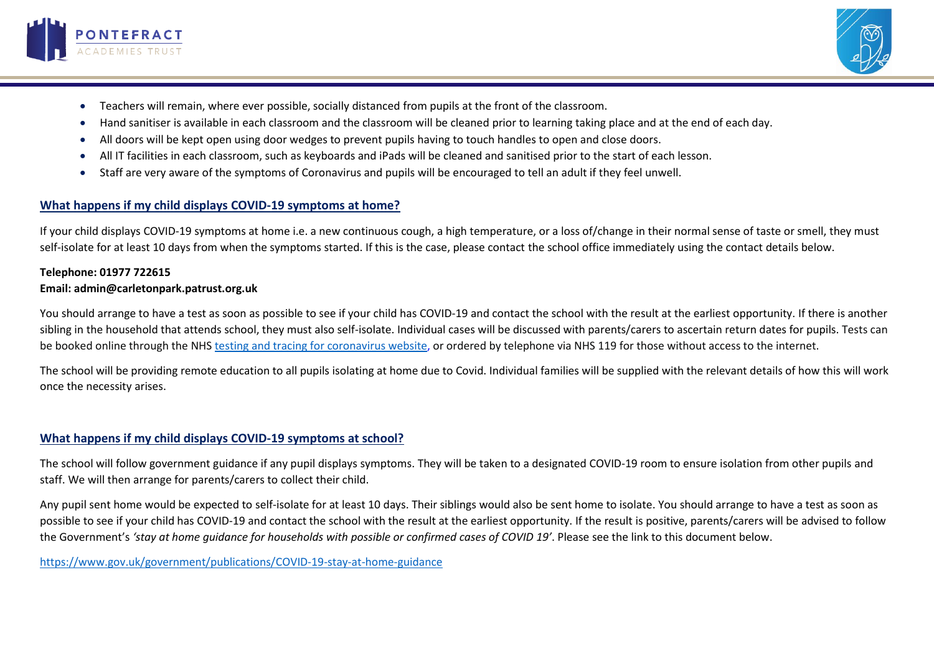



- Teachers will remain, where ever possible, socially distanced from pupils at the front of the classroom.
- Hand sanitiser is available in each classroom and the classroom will be cleaned prior to learning taking place and at the end of each day.
- All doors will be kept open using door wedges to prevent pupils having to touch handles to open and close doors.
- All IT facilities in each classroom, such as keyboards and iPads will be cleaned and sanitised prior to the start of each lesson.
- Staff are very aware of the symptoms of Coronavirus and pupils will be encouraged to tell an adult if they feel unwell.

# **What happens if my child displays COVID-19 symptoms at home?**

If your child displays COVID-19 symptoms at home i.e. a new continuous cough, a high temperature, or a loss of/change in their normal sense of taste or smell, they must self-isolate for at least 10 days from when the symptoms started. If this is the case, please contact the school office immediately using the contact details below.

### **Telephone: 01977 722615 Email: admin@carletonpark.patrust.org.uk**

You should arrange to have a test as soon as possible to see if your child has COVID-19 and contact the school with the result at the earliest opportunity. If there is another sibling in the household that attends school, they must also self-isolate. Individual cases will be discussed with parents/carers to ascertain return dates for pupils. Tests can be booked online through the NHS testing and tracing for [coronavirus](https://www.nhs.uk/conditions/coronavirus-covid-19/testing-for-coronavirus/) website, or ordered by telephone via NHS 119 for those without access to the internet.

The school will be providing remote education to all pupils isolating at home due to Covid. Individual families will be supplied with the relevant details of how this will work once the necessity arises.

## **What happens if my child displays COVID-19 symptoms at school?**

The school will follow government guidance if any pupil displays symptoms. They will be taken to a designated COVID-19 room to ensure isolation from other pupils and staff. We will then arrange for parents/carers to collect their child.

Any pupil sent home would be expected to self-isolate for at least 10 days. Their siblings would also be sent home to isolate. You should arrange to have a test as soon as possible to see if your child has COVID-19 and contact the school with the result at the earliest opportunity. If the result is positive, parents/carers will be advised to follow the Government's 'stay at home guidance for households with possible or confirmed cases of COVID 19'. Please see the link to this document below.

[https://www.gov.uk/government/publications/COVID-19-stay-at-home-guidance](https://www.gov.uk/government/publications/covid-19-stay-at-home-guidance)